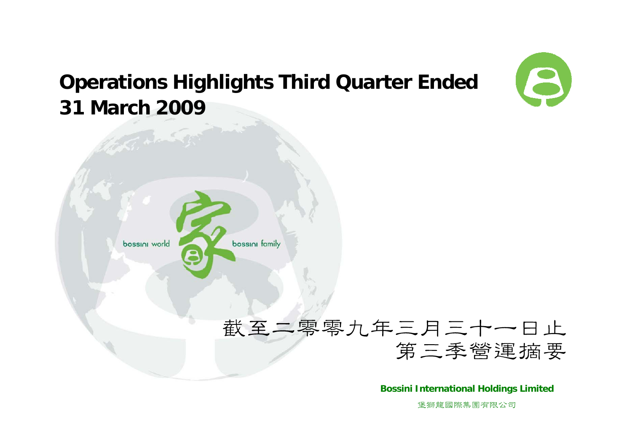

### **Operations Highlights Third Quarter Ended 31 March 2009**



### 截至二零零九年三月三十一日止 第三季營運摘要

**Bossini International Holdings Limited**

堡獅龍國際集團有限公司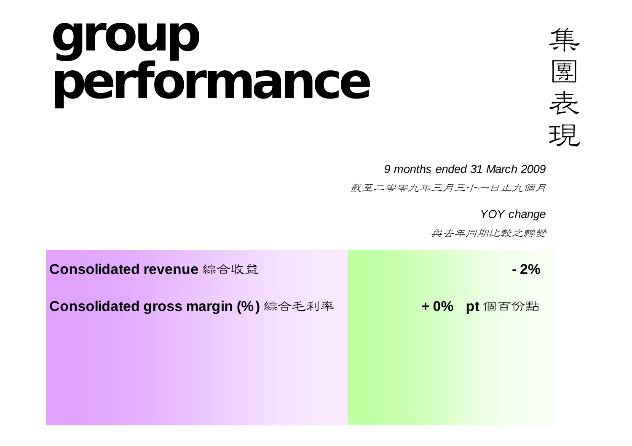### **group performance**



 *9 months ended 31 March 2009*

武至二零零九年三月三十一日止九個月

*YOY change*

與去年同期比較之轉變

| Consolidated revenue 綜合收益           | $-2%$       |
|-------------------------------------|-------------|
| Consolidated gross margin (%) 綜合毛利率 | +0% pt 個百份點 |
|                                     |             |
|                                     |             |
|                                     |             |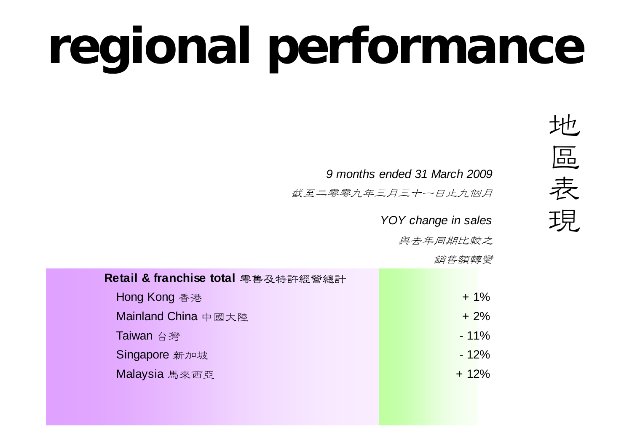# **regional performance**

 *9 months ended 31 March 2009*

武至二零零九年三月三十一日止九個月

*YOY change in sales*

與去年同期比較之

銷售額轉變

| Retail & franchise total 零售及特許經營總計 |  |         |
|------------------------------------|--|---------|
| Hong Kong 香港                       |  | $+1\%$  |
| Mainland China 中國大陸                |  | $+2%$   |
| Taiwan 台灣                          |  | $-11%$  |
| Singapore 新加坡                      |  | $-12%$  |
| Malaysia 馬來西亞                      |  | $+ 12%$ |
|                                    |  |         |
|                                    |  |         |

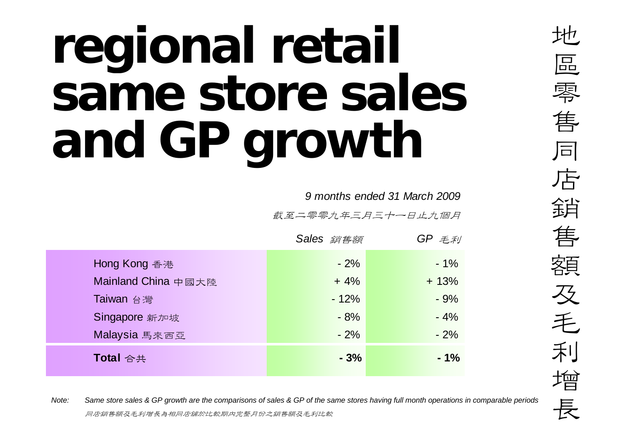## **regional retail same store sales and GP growth**

*9 months ended 31 March 2009*

截至二零零九年三月三十一日止九個月

|                     | Sales 銷售額 | $GP \not\equiv \not\equiv \not\equiv \forall$ |
|---------------------|-----------|-----------------------------------------------|
| Hong Kong 香港        | $-2%$     | $-1\%$                                        |
| Mainland China 中國大陸 | $+4%$     | $+13%$                                        |
| Taiwan 台灣           | $-12%$    | $-9%$                                         |
| Singapore 新加坡       | $-8%$     | $-4%$                                         |
| Malaysia 馬來西亞       | $-2%$     | $-2%$                                         |
| Total 合共            | $-3%$     | $-1%$                                         |

*Note:*<br>*Dote: Same store sales & GP growth are the comparisons of sales & GP of the same stores having full month operations in comparable periods***<br>同店銷售額及毛利增長為相同店舖於比較期內完整月份之銷售額及毛利比較**